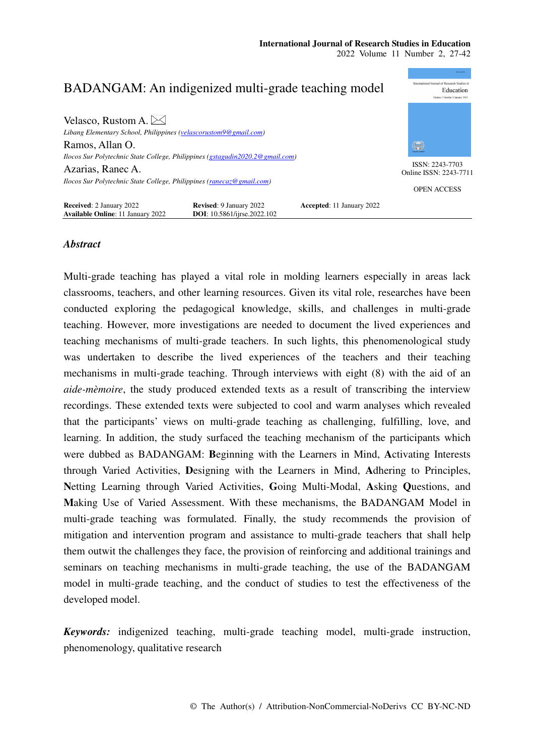

## *Abstract*

Multi-grade teaching has played a vital role in molding learners especially in areas lack classrooms, teachers, and other learning resources. Given its vital role, researches have been conducted exploring the pedagogical knowledge, skills, and challenges in multi-grade teaching. However, more investigations are needed to document the lived experiences and teaching mechanisms of multi-grade teachers. In such lights, this phenomenological study was undertaken to describe the lived experiences of the teachers and their teaching mechanisms in multi-grade teaching. Through interviews with eight (8) with the aid of an *aide-mèmoire*, the study produced extended texts as a result of transcribing the interview recordings. These extended texts were subjected to cool and warm analyses which revealed that the participants' views on multi-grade teaching as challenging, fulfilling, love, and learning. In addition, the study surfaced the teaching mechanism of the participants which were dubbed as BADANGAM: **B**eginning with the Learners in Mind, **A**ctivating Interests through Varied Activities, **D**esigning with the Learners in Mind, **A**dhering to Principles, **N**etting Learning through Varied Activities, **G**oing Multi-Modal, **A**sking **Q**uestions, and **M**aking Use of Varied Assessment. With these mechanisms, the BADANGAM Model in multi-grade teaching was formulated. Finally, the study recommends the provision of mitigation and intervention program and assistance to multi-grade teachers that shall help them outwit the challenges they face, the provision of reinforcing and additional trainings and seminars on teaching mechanisms in multi-grade teaching, the use of the BADANGAM model in multi-grade teaching, and the conduct of studies to test the effectiveness of the developed model.

*Keywords:* indigenized teaching, multi-grade teaching model, multi-grade instruction, phenomenology, qualitative research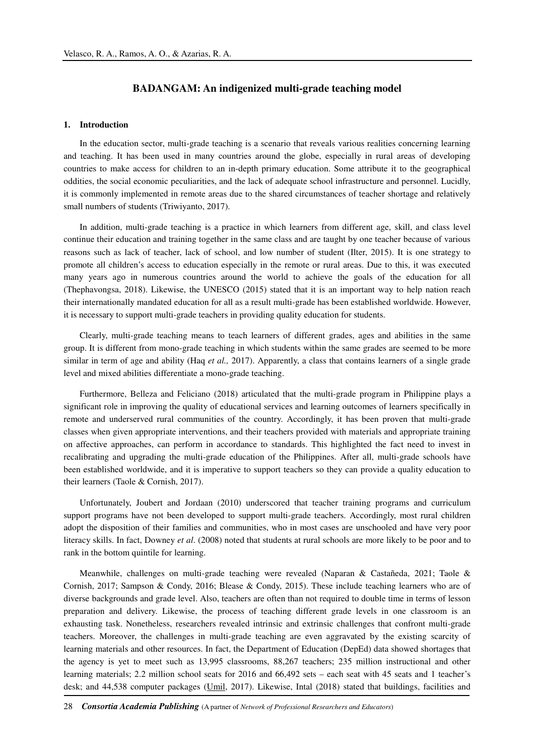## **BADANGAM: An indigenized multi-grade teaching model**

#### **1. Introduction**

In the education sector, multi-grade teaching is a scenario that reveals various realities concerning learning and teaching. It has been used in many countries around the globe, especially in rural areas of developing countries to make access for children to an in-depth primary education. Some attribute it to the geographical oddities, the social economic peculiarities, and the lack of adequate school infrastructure and personnel. Lucidly, it is commonly implemented in remote areas due to the shared circumstances of teacher shortage and relatively small numbers of students (Triwiyanto, 2017).

In addition, multi-grade teaching is a practice in which learners from different age, skill, and class level continue their education and training together in the same class and are taught by one teacher because of various reasons such as lack of teacher, lack of school, and low number of student (Ilter, 2015). It is one strategy to promote all children's access to education especially in the remote or rural areas. Due to this, it was executed many years ago in numerous countries around the world to achieve the goals of the education for all (Thephavongsa, 2018). Likewise, the UNESCO (2015) stated that it is an important way to help nation reach their internationally mandated education for all as a result multi-grade has been established worldwide. However, it is necessary to support multi-grade teachers in providing quality education for students.

Clearly, multi-grade teaching means to teach learners of different grades, ages and abilities in the same group. It is different from mono-grade teaching in which students within the same grades are seemed to be more similar in term of age and ability (Haq *et al.*, 2017). Apparently, a class that contains learners of a single grade level and mixed abilities differentiate a mono-grade teaching.

Furthermore, Belleza and Feliciano (2018) articulated that the multi-grade program in Philippine plays a significant role in improving the quality of educational services and learning outcomes of learners specifically in remote and underserved rural communities of the country. Accordingly, it has been proven that multi-grade classes when given appropriate interventions, and their teachers provided with materials and appropriate training on affective approaches, can perform in accordance to standards. This highlighted the fact need to invest in recalibrating and upgrading the multi-grade education of the Philippines. After all, multi-grade schools have been established worldwide, and it is imperative to support teachers so they can provide a quality education to their learners (Taole & Cornish, 2017).

Unfortunately, Joubert and Jordaan (2010) underscored that teacher training programs and curriculum support programs have not been developed to support multi-grade teachers. Accordingly, most rural children adopt the disposition of their families and communities, who in most cases are unschooled and have very poor literacy skills. In fact, Downey *et al*. (2008) noted that students at rural schools are more likely to be poor and to rank in the bottom quintile for learning.

Meanwhile, challenges on multi-grade teaching were revealed (Naparan & Castañeda, 2021; Taole & Cornish, 2017; Sampson & Condy, 2016; Blease & Condy, 2015). These include teaching learners who are of diverse backgrounds and grade level. Also, teachers are often than not required to double time in terms of lesson preparation and delivery. Likewise, the process of teaching different grade levels in one classroom is an exhausting task. Nonetheless, researchers revealed intrinsic and extrinsic challenges that confront multi-grade teachers. Moreover, the challenges in multi-grade teaching are even aggravated by the existing scarcity of learning materials and other resources. In fact, the Department of Education (DepEd) data showed shortages that the agency is yet to meet such as 13,995 classrooms, 88,267 teachers; 235 million instructional and other learning materials; 2.2 million school seats for 2016 and 66,492 sets – each seat with 45 seats and 1 teacher's desk; and 44,538 computer packages (Umil, 2017). Likewise, Intal (2018) stated that buildings, facilities and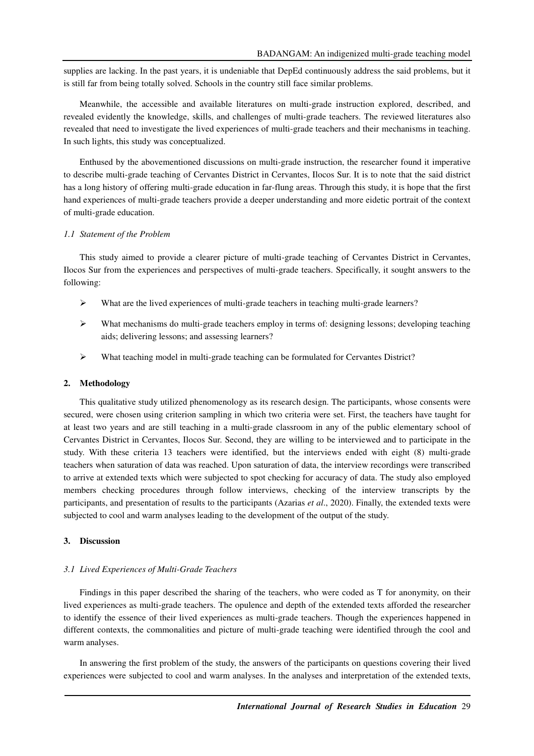supplies are lacking. In the past years, it is undeniable that DepEd continuously address the said problems, but it is still far from being totally solved. Schools in the country still face similar problems.

Meanwhile, the accessible and available literatures on multi-grade instruction explored, described, and revealed evidently the knowledge, skills, and challenges of multi-grade teachers. The reviewed literatures also revealed that need to investigate the lived experiences of multi-grade teachers and their mechanisms in teaching. In such lights, this study was conceptualized.

Enthused by the abovementioned discussions on multi-grade instruction, the researcher found it imperative to describe multi-grade teaching of Cervantes District in Cervantes, Ilocos Sur. It is to note that the said district has a long history of offering multi-grade education in far-flung areas. Through this study, it is hope that the first hand experiences of multi-grade teachers provide a deeper understanding and more eidetic portrait of the context of multi-grade education.

#### *1.1 Statement of the Problem*

This study aimed to provide a clearer picture of multi-grade teaching of Cervantes District in Cervantes, Ilocos Sur from the experiences and perspectives of multi-grade teachers. Specifically, it sought answers to the following:

- $\triangleright$  What are the lived experiences of multi-grade teachers in teaching multi-grade learners?
- What mechanisms do multi-grade teachers employ in terms of: designing lessons; developing teaching aids; delivering lessons; and assessing learners?
- What teaching model in multi-grade teaching can be formulated for Cervantes District?

#### **2. Methodology**

This qualitative study utilized phenomenology as its research design. The participants, whose consents were secured, were chosen using criterion sampling in which two criteria were set. First, the teachers have taught for at least two years and are still teaching in a multi-grade classroom in any of the public elementary school of Cervantes District in Cervantes, Ilocos Sur. Second, they are willing to be interviewed and to participate in the study. With these criteria 13 teachers were identified, but the interviews ended with eight (8) multi-grade teachers when saturation of data was reached. Upon saturation of data, the interview recordings were transcribed to arrive at extended texts which were subjected to spot checking for accuracy of data. The study also employed members checking procedures through follow interviews, checking of the interview transcripts by the participants, and presentation of results to the participants (Azarias *et al*., 2020). Finally, the extended texts were subjected to cool and warm analyses leading to the development of the output of the study.

#### **3. Discussion**

#### *3.1 Lived Experiences of Multi-Grade Teachers*

Findings in this paper described the sharing of the teachers, who were coded as T for anonymity, on their lived experiences as multi-grade teachers. The opulence and depth of the extended texts afforded the researcher to identify the essence of their lived experiences as multi-grade teachers. Though the experiences happened in different contexts, the commonalities and picture of multi-grade teaching were identified through the cool and warm analyses.

In answering the first problem of the study, the answers of the participants on questions covering their lived experiences were subjected to cool and warm analyses. In the analyses and interpretation of the extended texts,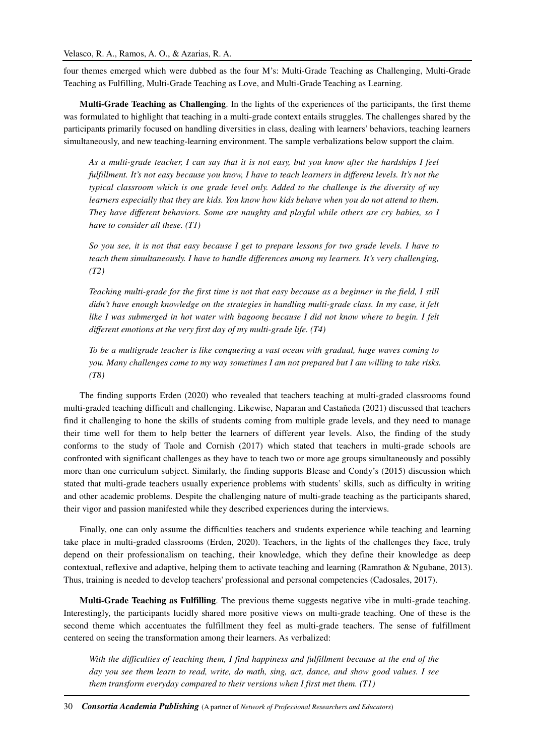four themes emerged which were dubbed as the four M's: Multi-Grade Teaching as Challenging, Multi-Grade Teaching as Fulfilling, Multi-Grade Teaching as Love, and Multi-Grade Teaching as Learning.

**Multi-Grade Teaching as Challenging**. In the lights of the experiences of the participants, the first theme was formulated to highlight that teaching in a multi-grade context entails struggles. The challenges shared by the participants primarily focused on handling diversities in class, dealing with learners' behaviors, teaching learners simultaneously, and new teaching-learning environment. The sample verbalizations below support the claim.

*As a multi-grade teacher, I can say that it is not easy, but you know after the hardships I feel fulfillment. It's not easy because you know, I have to teach learners in different levels. It's not the typical classroom which is one grade level only. Added to the challenge is the diversity of my learners especially that they are kids. You know how kids behave when you do not attend to them. They have different behaviors. Some are naughty and playful while others are cry babies, so I have to consider all these. (T1)* 

*So you see, it is not that easy because I get to prepare lessons for two grade levels. I have to teach them simultaneously. I have to handle differences among my learners. It's very challenging, (T2)* 

*Teaching multi-grade for the first time is not that easy because as a beginner in the field, I still didn't have enough knowledge on the strategies in handling multi-grade class. In my case, it felt like I was submerged in hot water with bagoong because I did not know where to begin. I felt different emotions at the very first day of my multi-grade life. (T4)* 

*To be a multigrade teacher is like conquering a vast ocean with gradual, huge waves coming to you. Many challenges come to my way sometimes I am not prepared but I am willing to take risks. (T8)* 

The finding supports Erden (2020) who revealed that teachers teaching at multi-graded classrooms found multi-graded teaching difficult and challenging. Likewise, Naparan and Castaňeda (2021) discussed that teachers find it challenging to hone the skills of students coming from multiple grade levels, and they need to manage their time well for them to help better the learners of different year levels. Also, the finding of the study conforms to the study of Taole and Cornish (2017) which stated that teachers in multi-grade schools are confronted with significant challenges as they have to teach two or more age groups simultaneously and possibly more than one curriculum subject. Similarly, the finding supports Blease and Condy's (2015) discussion which stated that multi-grade teachers usually experience problems with students' skills, such as difficulty in writing and other academic problems. Despite the challenging nature of multi-grade teaching as the participants shared, their vigor and passion manifested while they described experiences during the interviews.

Finally, one can only assume the difficulties teachers and students experience while teaching and learning take place in multi-graded classrooms (Erden, 2020). Teachers, in the lights of the challenges they face, truly depend on their professionalism on teaching, their knowledge, which they define their knowledge as deep contextual, reflexive and adaptive, helping them to activate teaching and learning (Ramrathon & Ngubane, 2013). Thus, training is needed to develop teachers' professional and personal competencies (Cadosales, 2017).

**Multi-Grade Teaching as Fulfilling**. The previous theme suggests negative vibe in multi-grade teaching. Interestingly, the participants lucidly shared more positive views on multi-grade teaching. One of these is the second theme which accentuates the fulfillment they feel as multi-grade teachers. The sense of fulfillment centered on seeing the transformation among their learners. As verbalized:

*With the difficulties of teaching them, I find happiness and fulfillment because at the end of the day you see them learn to read, write, do math, sing, act, dance, and show good values. I see them transform everyday compared to their versions when I first met them. (T1)*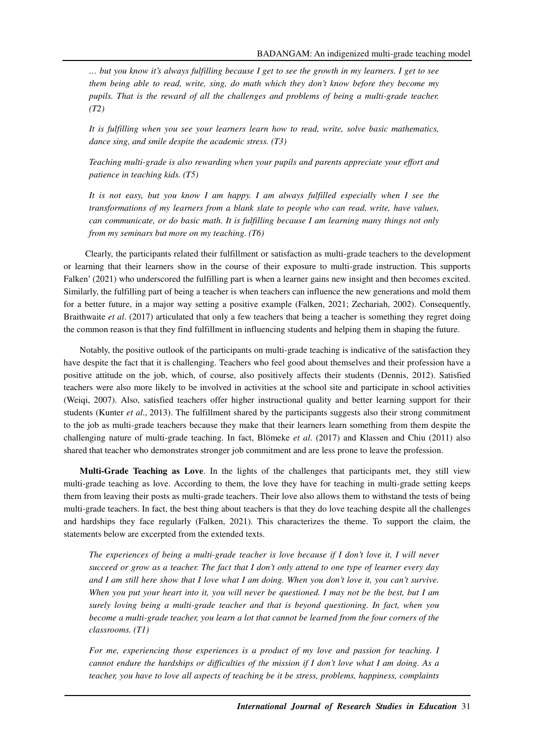*… but you know it's always fulfilling because I get to see the growth in my learners. I get to see them being able to read, write, sing, do math which they don't know before they become my pupils. That is the reward of all the challenges and problems of being a multi-grade teacher. (T2)*

*It is fulfilling when you see your learners learn how to read, write, solve basic mathematics, dance sing, and smile despite the academic stress. (T3)* 

*Teaching multi-grade is also rewarding when your pupils and parents appreciate your effort and patience in teaching kids. (T5)* 

*It is not easy, but you know I am happy. I am always fulfilled especially when I see the transformations of my learners from a blank slate to people who can read, write, have values, can communicate, or do basic math. It is fulfilling because I am learning many things not only from my seminars but more on my teaching. (T6)* 

Clearly, the participants related their fulfillment or satisfaction as multi-grade teachers to the development or learning that their learners show in the course of their exposure to multi-grade instruction. This supports Falken' (2021) who underscored the fulfilling part is when a learner gains new insight and then becomes excited. Similarly, the fulfilling part of being a teacher is when teachers can influence the new generations and mold them for a better future, in a major way setting a positive example (Falken, 2021; Zechariah, 2002). Consequently, Braithwaite *et al*. (2017) articulated that only a few teachers that being a teacher is something they regret doing the common reason is that they find fulfillment in influencing students and helping them in shaping the future.

Notably, the positive outlook of the participants on multi-grade teaching is indicative of the satisfaction they have despite the fact that it is challenging. Teachers who feel good about themselves and their profession have a positive attitude on the job, which, of course, also positively affects their students (Dennis, 2012). Satisfied teachers were also more likely to be involved in activities at the school site and participate in school activities (Weiqi, 2007). Also, satisfied teachers offer higher instructional quality and better learning support for their students (Kunter *et al*., 2013). The fulfillment shared by the participants suggests also their strong commitment to the job as multi-grade teachers because they make that their learners learn something from them despite the challenging nature of multi-grade teaching. In fact, Blömeke *et al*. (2017) and Klassen and Chiu (2011) also shared that teacher who demonstrates stronger job commitment and are less prone to leave the profession.

**Multi-Grade Teaching as Love**. In the lights of the challenges that participants met, they still view multi-grade teaching as love. According to them, the love they have for teaching in multi-grade setting keeps them from leaving their posts as multi-grade teachers. Their love also allows them to withstand the tests of being multi-grade teachers. In fact, the best thing about teachers is that they do love teaching despite all the challenges and hardships they face regularly (Falken, 2021). This characterizes the theme. To support the claim, the statements below are excerpted from the extended texts.

*The experiences of being a multi-grade teacher is love because if I don't love it, I will never succeed or grow as a teacher. The fact that I don't only attend to one type of learner every day and I am still here show that I love what I am doing. When you don't love it, you can't survive. When you put your heart into it, you will never be questioned. I may not be the best, but I am surely loving being a multi-grade teacher and that is beyond questioning. In fact, when you become a multi-grade teacher, you learn a lot that cannot be learned from the four corners of the classrooms. (T1)* 

*For me, experiencing those experiences is a product of my love and passion for teaching. I cannot endure the hardships or difficulties of the mission if I don't love what I am doing. As a teacher, you have to love all aspects of teaching be it be stress, problems, happiness, complaints*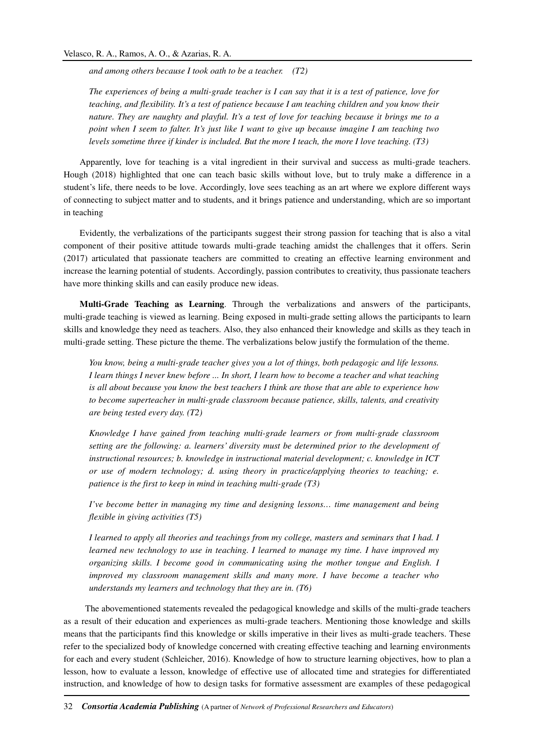*and among others because I took oath to be a teacher. (T2)* 

*The experiences of being a multi-grade teacher is I can say that it is a test of patience, love for teaching, and flexibility. It's a test of patience because I am teaching children and you know their nature. They are naughty and playful. It's a test of love for teaching because it brings me to a point when I seem to falter. It's just like I want to give up because imagine I am teaching two levels sometime three if kinder is included. But the more I teach, the more I love teaching. (T3)* 

Apparently, love for teaching is a vital ingredient in their survival and success as multi-grade teachers. Hough (2018) highlighted that one can teach basic skills without love, but to truly make a difference in a student's life, there needs to be love. Accordingly, love sees teaching as an art where we explore different ways of connecting to subject matter and to students, and it brings patience and understanding, which are so important in teaching

Evidently, the verbalizations of the participants suggest their strong passion for teaching that is also a vital component of their positive attitude towards multi-grade teaching amidst the challenges that it offers. Serin (2017) articulated that passionate teachers are committed to creating an effective learning environment and increase the learning potential of students. Accordingly, passion contributes to creativity, thus passionate teachers have more thinking skills and can easily produce new ideas.

**Multi-Grade Teaching as Learning**. Through the verbalizations and answers of the participants, multi-grade teaching is viewed as learning. Being exposed in multi-grade setting allows the participants to learn skills and knowledge they need as teachers. Also, they also enhanced their knowledge and skills as they teach in multi-grade setting. These picture the theme. The verbalizations below justify the formulation of the theme.

*You know, being a multi-grade teacher gives you a lot of things, both pedagogic and life lessons. I learn things I never knew before ... In short, I learn how to become a teacher and what teaching is all about because you know the best teachers I think are those that are able to experience how to become superteacher in multi-grade classroom because patience, skills, talents, and creativity are being tested every day. (T2)* 

*Knowledge I have gained from teaching multi-grade learners or from multi-grade classroom setting are the following: a. learners' diversity must be determined prior to the development of instructional resources; b. knowledge in instructional material development; c. knowledge in ICT or use of modern technology; d. using theory in practice/applying theories to teaching; e. patience is the first to keep in mind in teaching multi-grade (T3)* 

*I've become better in managing my time and designing lessons… time management and being flexible in giving activities (T5)* 

*I learned to apply all theories and teachings from my college, masters and seminars that I had. I learned new technology to use in teaching. I learned to manage my time. I have improved my organizing skills. I become good in communicating using the mother tongue and English. I improved my classroom management skills and many more. I have become a teacher who understands my learners and technology that they are in. (T6)* 

The abovementioned statements revealed the pedagogical knowledge and skills of the multi-grade teachers as a result of their education and experiences as multi-grade teachers. Mentioning those knowledge and skills means that the participants find this knowledge or skills imperative in their lives as multi-grade teachers. These refer to the specialized body of knowledge concerned with creating effective teaching and learning environments for each and every student (Schleicher, 2016). Knowledge of how to structure learning objectives, how to plan a lesson, how to evaluate a lesson, knowledge of effective use of allocated time and strategies for differentiated instruction, and knowledge of how to design tasks for formative assessment are examples of these pedagogical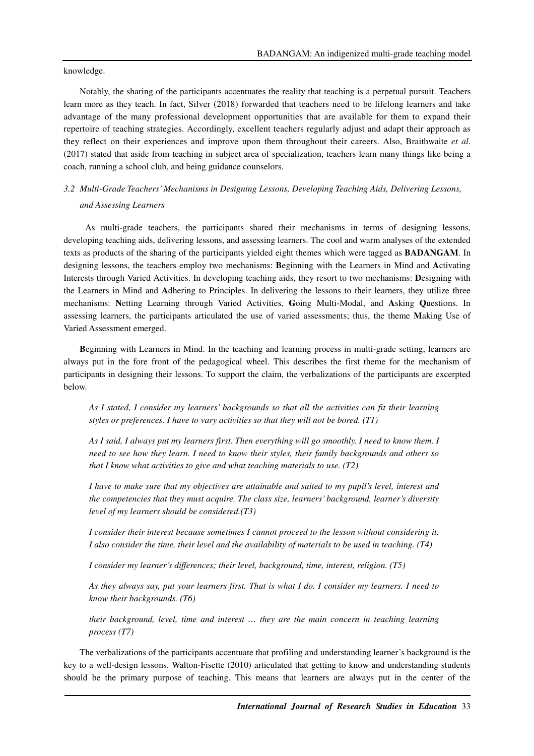knowledge.

Notably, the sharing of the participants accentuates the reality that teaching is a perpetual pursuit. Teachers learn more as they teach. In fact, Silver (2018) forwarded that teachers need to be lifelong learners and take advantage of the many professional development opportunities that are available for them to expand their repertoire of teaching strategies. Accordingly, excellent teachers regularly adjust and adapt their approach as they reflect on their experiences and improve upon them throughout their careers. Also, Braithwaite *et al*. (2017) stated that aside from teaching in subject area of specialization, teachers learn many things like being a coach, running a school club, and being guidance counselors.

# *3.2 Multi-Grade Teachers' Mechanisms in Designing Lessons, Developing Teaching Aids, Delivering Lessons, and Assessing Learners*

 As multi-grade teachers, the participants shared their mechanisms in terms of designing lessons, developing teaching aids, delivering lessons, and assessing learners. The cool and warm analyses of the extended texts as products of the sharing of the participants yielded eight themes which were tagged as **BADANGAM**. In designing lessons, the teachers employ two mechanisms: **B**eginning with the Learners in Mind and **A**ctivating Interests through Varied Activities. In developing teaching aids, they resort to two mechanisms: **D**esigning with the Learners in Mind and **A**dhering to Principles. In delivering the lessons to their learners, they utilize three mechanisms: **N**etting Learning through Varied Activities, **G**oing Multi-Modal, and **A**sking **Q**uestions. In assessing learners, the participants articulated the use of varied assessments; thus, the theme **M**aking Use of Varied Assessment emerged.

**B**eginning with Learners in Mind. In the teaching and learning process in multi-grade setting, learners are always put in the fore front of the pedagogical wheel. This describes the first theme for the mechanism of participants in designing their lessons. To support the claim, the verbalizations of the participants are excerpted below.

*As I stated, I consider my learners' backgrounds so that all the activities can fit their learning styles or preferences. I have to vary activities so that they will not be bored. (T1)* 

*As I said, I always put my learners first. Then everything will go smoothly. I need to know them. I need to see how they learn. I need to know their styles, their family backgrounds and others so that I know what activities to give and what teaching materials to use. (T2)* 

*I have to make sure that my objectives are attainable and suited to my pupil's level, interest and the competencies that they must acquire. The class size, learners' background, learner's diversity level of my learners should be considered.(T3)* 

*I consider their interest because sometimes I cannot proceed to the lesson without considering it. I also consider the time, their level and the availability of materials to be used in teaching. (T4)* 

*I consider my learner's differences; their level, background, time, interest, religion. (T5)* 

*As they always say, put your learners first. That is what I do. I consider my learners. I need to know their backgrounds. (T6)* 

*their background, level, time and interest … they are the main concern in teaching learning process (T7)* 

The verbalizations of the participants accentuate that profiling and understanding learner's background is the key to a well-design lessons. Walton-Fisette (2010) articulated that getting to know and understanding students should be the primary purpose of teaching. This means that learners are always put in the center of the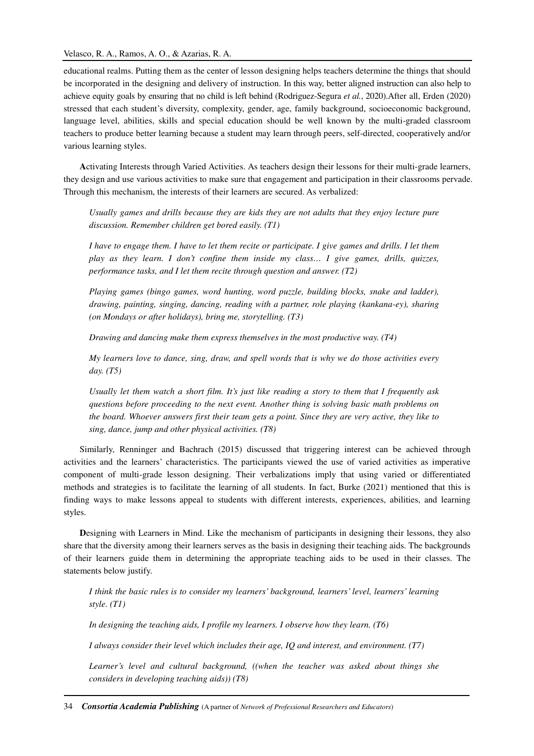### Velasco, R. A., Ramos, A. O., & Azarias, R. A.

educational realms. Putting them as the center of lesson designing helps teachers determine the things that should be incorporated in the designing and delivery of instruction. In this way, better aligned instruction can also help to achieve equity goals by ensuring that no child is left behind (Rodriguez-Segura *et al.*, 2020).After all, Erden (2020) stressed that each student's diversity, complexity, gender, age, family background, socioeconomic background, language level, abilities, skills and special education should be well known by the multi-graded classroom teachers to produce better learning because a student may learn through peers, self-directed, cooperatively and/or various learning styles.

**A**ctivating Interests through Varied Activities. As teachers design their lessons for their multi-grade learners, they design and use various activities to make sure that engagement and participation in their classrooms pervade. Through this mechanism, the interests of their learners are secured. As verbalized:

*Usually games and drills because they are kids they are not adults that they enjoy lecture pure discussion. Remember children get bored easily. (T1)* 

*I have to engage them. I have to let them recite or participate. I give games and drills. I let them play as they learn. I don't confine them inside my class… I give games, drills, quizzes, performance tasks, and I let them recite through question and answer. (T2)* 

*Playing games (bingo games, word hunting, word puzzle, building blocks, snake and ladder), drawing, painting, singing, dancing, reading with a partner, role playing (kankana-ey), sharing (on Mondays or after holidays), bring me, storytelling. (T3)* 

*Drawing and dancing make them express themselves in the most productive way. (T4)* 

*My learners love to dance, sing, draw, and spell words that is why we do those activities every day. (T5)* 

*Usually let them watch a short film. It's just like reading a story to them that I frequently ask questions before proceeding to the next event. Another thing is solving basic math problems on the board. Whoever answers first their team gets a point. Since they are very active, they like to sing, dance, jump and other physical activities. (T8)* 

Similarly, Renninger and Bachrach (2015) discussed that triggering interest can be achieved through activities and the learners' characteristics. The participants viewed the use of varied activities as imperative component of multi-grade lesson designing. Their verbalizations imply that using varied or differentiated methods and strategies is to facilitate the learning of all students. In fact, Burke (2021) mentioned that this is finding ways to make lessons appeal to students with different interests, experiences, abilities, and learning styles.

**D**esigning with Learners in Mind. Like the mechanism of participants in designing their lessons, they also share that the diversity among their learners serves as the basis in designing their teaching aids. The backgrounds of their learners guide them in determining the appropriate teaching aids to be used in their classes. The statements below justify.

*I think the basic rules is to consider my learners' background, learners' level, learners' learning style. (T1)* 

*In designing the teaching aids, I profile my learners. I observe how they learn. (T6)* 

*I always consider their level which includes their age, IQ and interest, and environment. (T7)* 

*Learner's level and cultural background, ((when the teacher was asked about things she considers in developing teaching aids)) (T8)*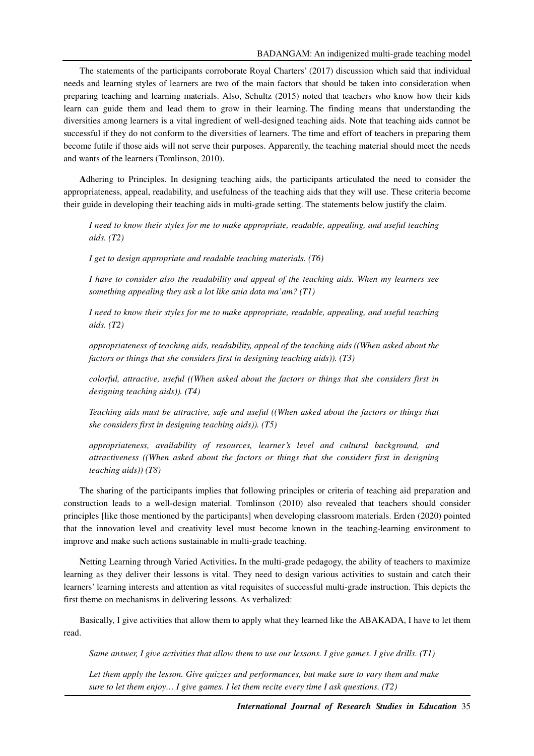The statements of the participants corroborate Royal Charters' (2017) discussion which said that individual needs and learning styles of learners are two of the main factors that should be taken into consideration when preparing teaching and learning materials. Also, Schultz (2015) noted that teachers who know how their kids learn can guide them and lead them to grow in their learning. The finding means that understanding the diversities among learners is a vital ingredient of well-designed teaching aids. Note that teaching aids cannot be successful if they do not conform to the diversities of learners. The time and effort of teachers in preparing them become futile if those aids will not serve their purposes. Apparently, the teaching material should meet the needs and wants of the learners (Tomlinson, 2010).

**A**dhering to Principles. In designing teaching aids, the participants articulated the need to consider the appropriateness, appeal, readability, and usefulness of the teaching aids that they will use. These criteria become their guide in developing their teaching aids in multi-grade setting. The statements below justify the claim.

*I need to know their styles for me to make appropriate, readable, appealing, and useful teaching aids. (T2)* 

*I get to design appropriate and readable teaching materials. (T6)* 

*I have to consider also the readability and appeal of the teaching aids. When my learners see something appealing they ask a lot like ania data ma'am? (T1)* 

*I need to know their styles for me to make appropriate, readable, appealing, and useful teaching aids. (T2)* 

*appropriateness of teaching aids, readability, appeal of the teaching aids ((When asked about the factors or things that she considers first in designing teaching aids)). (T3)* 

*colorful, attractive, useful ((When asked about the factors or things that she considers first in designing teaching aids)). (T4)* 

*Teaching aids must be attractive, safe and useful ((When asked about the factors or things that she considers first in designing teaching aids)). (T5)* 

*appropriateness, availability of resources, learner's level and cultural background, and attractiveness ((When asked about the factors or things that she considers first in designing teaching aids)) (T8)* 

The sharing of the participants implies that following principles or criteria of teaching aid preparation and construction leads to a well-design material. Tomlinson (2010) also revealed that teachers should consider principles [like those mentioned by the participants] when developing classroom materials. Erden (2020) pointed that the innovation level and creativity level must become known in the teaching-learning environment to improve and make such actions sustainable in multi-grade teaching.

**N**etting Learning through Varied Activities**.** In the multi-grade pedagogy, the ability of teachers to maximize learning as they deliver their lessons is vital. They need to design various activities to sustain and catch their learners' learning interests and attention as vital requisites of successful multi-grade instruction. This depicts the first theme on mechanisms in delivering lessons. As verbalized:

Basically, I give activities that allow them to apply what they learned like the ABAKADA, I have to let them read.

*Same answer, I give activities that allow them to use our lessons. I give games. I give drills. (T1)* 

Let them apply the lesson. Give quizzes and performances, but make sure to vary them and make *sure to let them enjoy… I give games. I let them recite every time I ask questions. (T2)*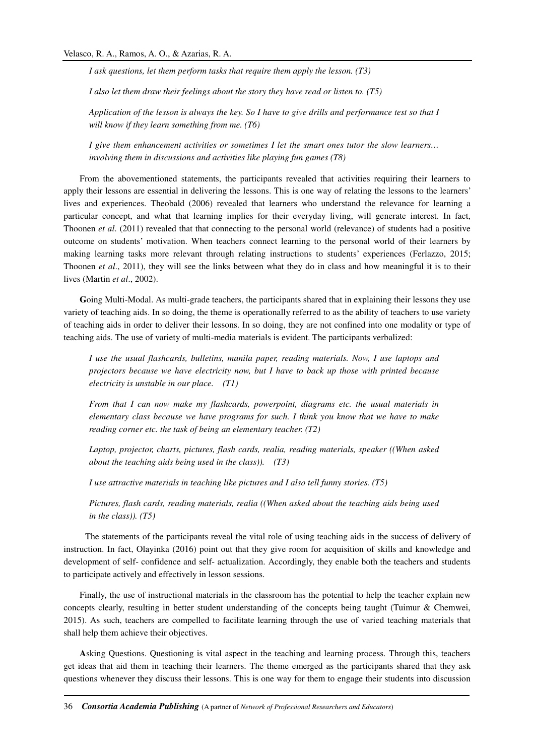*I ask questions, let them perform tasks that require them apply the lesson. (T3)* 

*I also let them draw their feelings about the story they have read or listen to. (T5)* 

*Application of the lesson is always the key. So I have to give drills and performance test so that I will know if they learn something from me. (T6)* 

*I give them enhancement activities or sometimes I let the smart ones tutor the slow learners… involving them in discussions and activities like playing fun games (T8)* 

From the abovementioned statements, the participants revealed that activities requiring their learners to apply their lessons are essential in delivering the lessons. This is one way of relating the lessons to the learners' lives and experiences. Theobald (2006) revealed that learners who understand the relevance for learning a particular concept, and what that learning implies for their everyday living, will generate interest. In fact, Thoonen *et al*. (2011) revealed that that connecting to the personal world (relevance) of students had a positive outcome on students' motivation. When teachers connect learning to the personal world of their learners by making learning tasks more relevant through relating instructions to students' experiences (Ferlazzo, 2015; Thoonen *et al*., 2011), they will see the links between what they do in class and how meaningful it is to their lives (Martin *et al*., 2002).

**G**oing Multi-Modal. As multi-grade teachers, the participants shared that in explaining their lessons they use variety of teaching aids. In so doing, the theme is operationally referred to as the ability of teachers to use variety of teaching aids in order to deliver their lessons. In so doing, they are not confined into one modality or type of teaching aids. The use of variety of multi-media materials is evident. The participants verbalized:

*I use the usual flashcards, bulletins, manila paper, reading materials. Now, I use laptops and projectors because we have electricity now, but I have to back up those with printed because electricity is unstable in our place. (T1)* 

*From that I can now make my flashcards, powerpoint, diagrams etc. the usual materials in elementary class because we have programs for such. I think you know that we have to make reading corner etc. the task of being an elementary teacher. (T2)* 

*Laptop, projector, charts, pictures, flash cards, realia, reading materials, speaker ((When asked about the teaching aids being used in the class)). (T3)* 

*I use attractive materials in teaching like pictures and I also tell funny stories. (T5)* 

*Pictures, flash cards, reading materials, realia ((When asked about the teaching aids being used in the class)). (T5)* 

 The statements of the participants reveal the vital role of using teaching aids in the success of delivery of instruction. In fact, Olayinka (2016) point out that they give room for acquisition of skills and knowledge and development of self- confidence and self- actualization. Accordingly, they enable both the teachers and students to participate actively and effectively in lesson sessions.

Finally, the use of instructional materials in the classroom has the potential to help the teacher explain new concepts clearly, resulting in better student understanding of the concepts being taught (Tuimur & Chemwei, 2015). As such, teachers are compelled to facilitate learning through the use of varied teaching materials that shall help them achieve their objectives.

**A**sking Questions. Questioning is vital aspect in the teaching and learning process. Through this, teachers get ideas that aid them in teaching their learners. The theme emerged as the participants shared that they ask questions whenever they discuss their lessons. This is one way for them to engage their students into discussion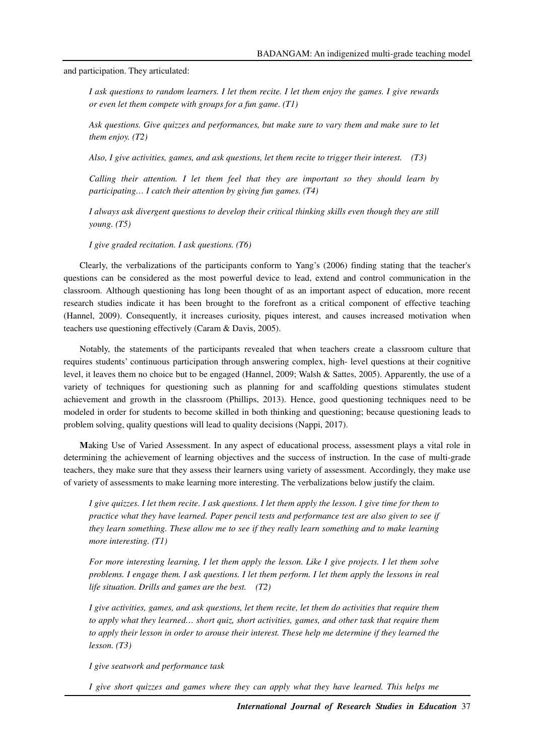and participation. They articulated:

*I ask questions to random learners. I let them recite. I let them enjoy the games. I give rewards or even let them compete with groups for a fun game. (T1)* 

*Ask questions. Give quizzes and performances, but make sure to vary them and make sure to let them enjoy. (T2)* 

*Also, I give activities, games, and ask questions, let them recite to trigger their interest. (T3)* 

*Calling their attention. I let them feel that they are important so they should learn by participating… I catch their attention by giving fun games. (T4)* 

*I always ask divergent questions to develop their critical thinking skills even though they are still young. (T5)* 

*I give graded recitation. I ask questions. (T6)* 

Clearly, the verbalizations of the participants conform to Yang's (2006) finding stating that the teacher's questions can be considered as the most powerful device to lead, extend and control communication in the classroom. Although questioning has long been thought of as an important aspect of education, more recent research studies indicate it has been brought to the forefront as a critical component of effective teaching (Hannel, 2009). Consequently, it increases curiosity, piques interest, and causes increased motivation when teachers use questioning effectively (Caram & Davis, 2005).

Notably, the statements of the participants revealed that when teachers create a classroom culture that requires students' continuous participation through answering complex, high- level questions at their cognitive level, it leaves them no choice but to be engaged (Hannel, 2009; Walsh & Sattes, 2005). Apparently, the use of a variety of techniques for questioning such as planning for and scaffolding questions stimulates student achievement and growth in the classroom (Phillips, 2013). Hence, good questioning techniques need to be modeled in order for students to become skilled in both thinking and questioning; because questioning leads to problem solving, quality questions will lead to quality decisions (Nappi, 2017).

**M**aking Use of Varied Assessment. In any aspect of educational process, assessment plays a vital role in determining the achievement of learning objectives and the success of instruction. In the case of multi-grade teachers, they make sure that they assess their learners using variety of assessment. Accordingly, they make use of variety of assessments to make learning more interesting. The verbalizations below justify the claim.

*I give quizzes. I let them recite. I ask questions. I let them apply the lesson. I give time for them to practice what they have learned. Paper pencil tests and performance test are also given to see if they learn something. These allow me to see if they really learn something and to make learning more interesting. (T1)* 

*For more interesting learning, I let them apply the lesson. Like I give projects. I let them solve problems. I engage them. I ask questions. I let them perform. I let them apply the lessons in real life situation. Drills and games are the best. (T2)* 

*I give activities, games, and ask questions, let them recite, let them do activities that require them to apply what they learned… short quiz, short activities, games, and other task that require them to apply their lesson in order to arouse their interest. These help me determine if they learned the lesson. (T3)* 

*I give seatwork and performance task* 

*I give short quizzes and games where they can apply what they have learned. This helps me*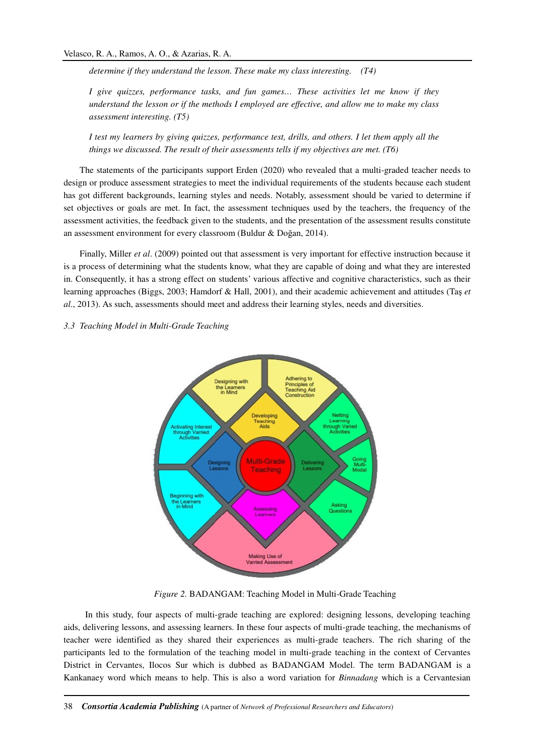*determine if they understand the lesson. These make my class interesting. (T4)* 

*I give quizzes, performance tasks, and fun games… These activities let me know if they understand the lesson or if the methods I employed are effective, and allow me to make my class assessment interesting. (T5)*

*I test my learners by giving quizzes, performance test, drills, and others. I let them apply all the things we discussed. The result of their assessments tells if my objectives are met. (T6)* 

The statements of the participants support Erden (2020) who revealed that a multi-graded teacher needs to design or produce assessment strategies to meet the individual requirements of the students because each student has got different backgrounds, learning styles and needs. Notably, assessment should be varied to determine if set objectives or goals are met. In fact, the assessment techniques used by the teachers, the frequency of the assessment activities, the feedback given to the students, and the presentation of the assessment results constitute an assessment environment for every classroom (Buldur & Doğan, 2014).

Finally, Miller *et al*. (2009) pointed out that assessment is very important for effective instruction because it is a process of determining what the students know, what they are capable of doing and what they are interested in. Consequently, it has a strong effect on students' various affective and cognitive characteristics, such as their learning approaches (Biggs, 2003; Hamdorf & Hall, 2001), and their academic achievement and attitudes (Taş *et al*., 2013). As such, assessments should meet and address their learning styles, needs and diversities.

*3.3 Teaching Model in Multi-Grade Teaching* 



*Figure 2.* BADANGAM: Teaching Model in Multi-Grade Teaching

In this study, four aspects of multi-grade teaching are explored: designing lessons, developing teaching aids, delivering lessons, and assessing learners. In these four aspects of multi-grade teaching, the mechanisms of teacher were identified as they shared their experiences as multi-grade teachers. The rich sharing of the participants led to the formulation of the teaching model in multi-grade teaching in the context of Cervantes District in Cervantes, Ilocos Sur which is dubbed as BADANGAM Model. The term BADANGAM is a Kankanaey word which means to help. This is also a word variation for *Binnadang* which is a Cervantesian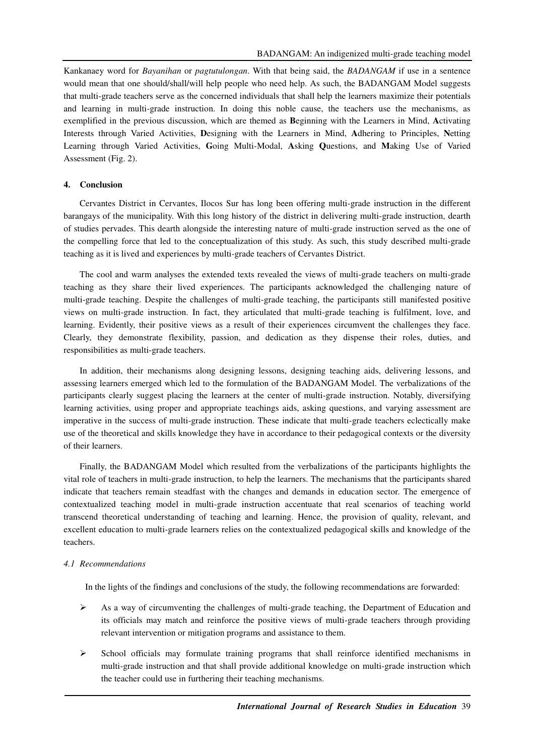Kankanaey word for *Bayanihan* or *pagtutulongan*. With that being said, the *BADANGAM* if use in a sentence would mean that one should/shall/will help people who need help. As such, the BADANGAM Model suggests that multi-grade teachers serve as the concerned individuals that shall help the learners maximize their potentials and learning in multi-grade instruction. In doing this noble cause, the teachers use the mechanisms, as exemplified in the previous discussion, which are themed as **B**eginning with the Learners in Mind, **A**ctivating Interests through Varied Activities, **D**esigning with the Learners in Mind, **A**dhering to Principles, **N**etting Learning through Varied Activities, **G**oing Multi-Modal, **A**sking **Q**uestions, and **M**aking Use of Varied Assessment (Fig. 2).

### **4. Conclusion**

Cervantes District in Cervantes, Ilocos Sur has long been offering multi-grade instruction in the different barangays of the municipality. With this long history of the district in delivering multi-grade instruction, dearth of studies pervades. This dearth alongside the interesting nature of multi-grade instruction served as the one of the compelling force that led to the conceptualization of this study. As such, this study described multi-grade teaching as it is lived and experiences by multi-grade teachers of Cervantes District.

The cool and warm analyses the extended texts revealed the views of multi-grade teachers on multi-grade teaching as they share their lived experiences. The participants acknowledged the challenging nature of multi-grade teaching. Despite the challenges of multi-grade teaching, the participants still manifested positive views on multi-grade instruction. In fact, they articulated that multi-grade teaching is fulfilment, love, and learning. Evidently, their positive views as a result of their experiences circumvent the challenges they face. Clearly, they demonstrate flexibility, passion, and dedication as they dispense their roles, duties, and responsibilities as multi-grade teachers.

In addition, their mechanisms along designing lessons, designing teaching aids, delivering lessons, and assessing learners emerged which led to the formulation of the BADANGAM Model. The verbalizations of the participants clearly suggest placing the learners at the center of multi-grade instruction. Notably, diversifying learning activities, using proper and appropriate teachings aids, asking questions, and varying assessment are imperative in the success of multi-grade instruction. These indicate that multi-grade teachers eclectically make use of the theoretical and skills knowledge they have in accordance to their pedagogical contexts or the diversity of their learners.

Finally, the BADANGAM Model which resulted from the verbalizations of the participants highlights the vital role of teachers in multi-grade instruction, to help the learners. The mechanisms that the participants shared indicate that teachers remain steadfast with the changes and demands in education sector. The emergence of contextualized teaching model in multi-grade instruction accentuate that real scenarios of teaching world transcend theoretical understanding of teaching and learning. Hence, the provision of quality, relevant, and excellent education to multi-grade learners relies on the contextualized pedagogical skills and knowledge of the teachers.

#### *4.1 Recommendations*

In the lights of the findings and conclusions of the study, the following recommendations are forwarded:

- $\triangleright$  As a way of circumventing the challenges of multi-grade teaching, the Department of Education and its officials may match and reinforce the positive views of multi-grade teachers through providing relevant intervention or mitigation programs and assistance to them.
- $\triangleright$  School officials may formulate training programs that shall reinforce identified mechanisms in multi-grade instruction and that shall provide additional knowledge on multi-grade instruction which the teacher could use in furthering their teaching mechanisms.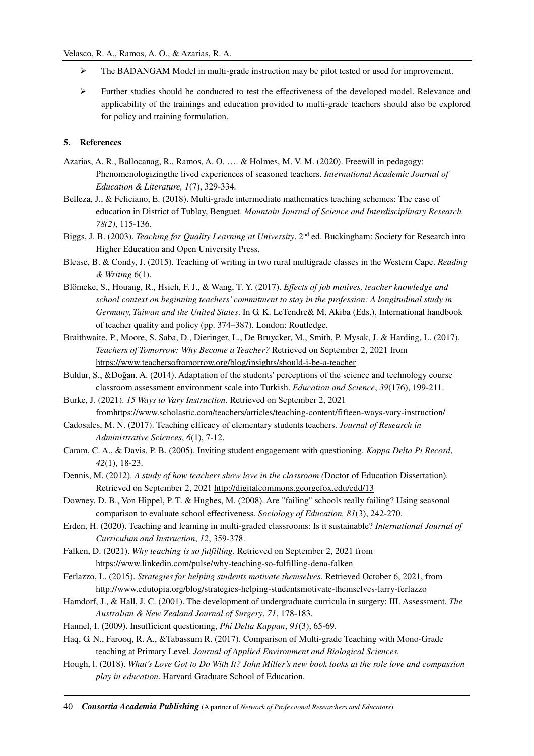- $\triangleright$  The BADANGAM Model in multi-grade instruction may be pilot tested or used for improvement.
- $\triangleright$  Further studies should be conducted to test the effectiveness of the developed model. Relevance and applicability of the trainings and education provided to multi-grade teachers should also be explored for policy and training formulation.

## **5. References**

- Azarias, A. R., Ballocanag, R., Ramos, A. O. …. & Holmes, M. V. M. (2020). Freewill in pedagogy: Phenomenologizingthe lived experiences of seasoned teachers. *International Academic Journal of Education & Literature, 1*(7), 329-334*.*
- Belleza, J., & Feliciano, E. (2018). Multi-grade intermediate mathematics teaching schemes: The case of education in District of Tublay, Benguet. *Mountain Journal of Science and Interdisciplinary Research, 78(2)*, 115-136.
- Biggs, J. B. (2003). *Teaching for Quality Learning at University*, 2nd ed. Buckingham: Society for Research into Higher Education and Open University Press.
- Blease, B. & Condy, J. (2015). Teaching of writing in two rural multigrade classes in the Western Cape. *Reading & Writing* 6(1).
- Blömeke, S., Houang, R., Hsieh, F. J., & Wang, T. Y. (2017). *Effects of job motives, teacher knowledge and school context on beginning teachers' commitment to stay in the profession: A longitudinal study in Germany, Taiwan and the United States*. In G. K. LeTendre& M. Akiba (Eds.), International handbook of teacher quality and policy (pp. 374–387). London: Routledge.
- Braithwaite, P., Moore, S. Saba, D., Dieringer, L., De Bruycker, M., Smith, P. Mysak, J. & Harding, L. (2017). *Teachers of Tomorrow: Why Become a Teacher?* Retrieved on September 2, 2021 from https://www.teachersoftomorrow.org/blog/insights/should-i-be-a-teacher
- Buldur, S., &Doğan, A. (2014). Adaptation of the students' perceptions of the science and technology course classroom assessment environment scale into Turkish. *Education and Science*, *39*(176), 199-211.
- Burke, J. (2021). *15 Ways to Vary Instruction*. Retrieved on September 2, 2021 fromhttps://www.scholastic.com/teachers/articles/teaching-content/fifteen-ways-vary-instruction/
- Cadosales, M. N. (2017). Teaching efficacy of elementary students teachers. *Journal of Research in Administrative Sciences*, *6*(1), 7-12.
- Caram, C. A., & Davis, P. B. (2005). Inviting student engagement with questioning. *Kappa Delta Pi Record*, *42*(1), 18-23.
- Dennis, M. (2012). *A study of how teachers show love in the classroom (*Doctor of Education Dissertation)*.* Retrieved on September 2, 2021 http://digitalcommons.georgefox.edu/edd/13
- Downey. D. B., Von Hippel, P. T. & Hughes, M. (2008). Are "failing" schools really failing? Using seasonal comparison to evaluate school effectiveness. *Sociology of Education, 81*(3), 242-270.
- Erden, H. (2020). Teaching and learning in multi-graded classrooms: Is it sustainable? *International Journal of Curriculum and Instruction*, *12*, 359-378.
- Falken, D. (2021). *Why teaching is so fulfilling*. Retrieved on September 2, 2021 from https://www.linkedin.com/pulse/why-teaching-so-fulfilling-dena-falken
- Ferlazzo, L. (2015). *Strategies for helping students motivate themselves*. Retrieved October 6, 2021, from http://www.edutopia.org/blog/strategies-helping-studentsmotivate-themselves-larry-ferlazzo
- Hamdorf, J., & Hall, J. C. (2001). The development of undergraduate curricula in surgery: III. Assessment. *The Australian & New Zealand Journal of Surgery*, *71*, 178-183.
- Hannel, I. (2009). Insufficient questioning, *Phi Delta Kappan*, *91*(3), 65-69.
- Haq, G. N., Farooq, R. A., &Tabassum R. (2017). Comparison of Multi-grade Teaching with Mono-Grade teaching at Primary Level. *Journal of Applied Environment and Biological Sciences.*
- Hough, l. (2018). *What's Love Got to Do With It? John Miller's new book looks at the role love and compassion play in education*. Harvard Graduate School of Education.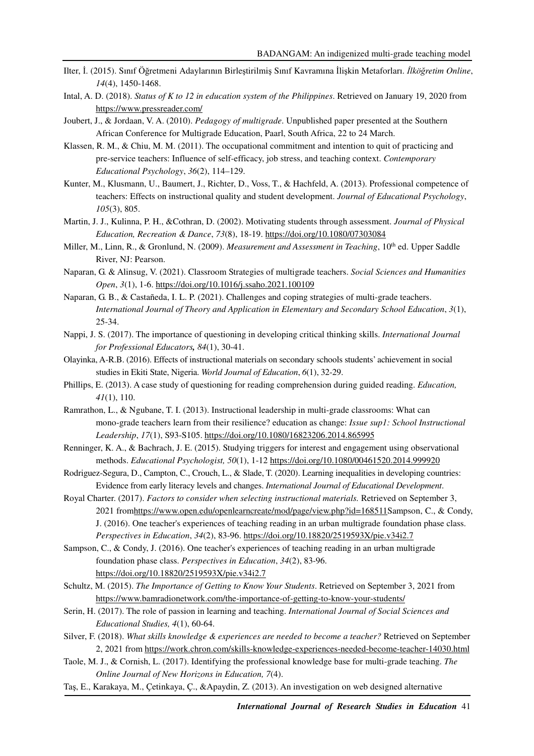- Ilter, İ. (2015). Sınıf Öğretmeni Adaylarının Birleştirilmiş Sınıf Kavramına İlişkin Metaforları. *İlköğretim Online*, *14*(4), 1450-1468.
- Intal, A. D. (2018). *Status of K to 12 in education system of the Philippines*. Retrieved on January 19, 2020 from https://www.pressreader.com/
- Joubert, J., & Jordaan, V. A. (2010). *Pedagogy of multigrade*. Unpublished paper presented at the Southern African Conference for Multigrade Education, Paarl, South Africa, 22 to 24 March.
- Klassen, R. M., & Chiu, M. M. (2011). The occupational commitment and intention to quit of practicing and pre-service teachers: Influence of self-efficacy, job stress, and teaching context. *Contemporary Educational Psychology*, *36*(2), 114–129.
- Kunter, M., Klusmann, U., Baumert, J., Richter, D., Voss, T., & Hachfeld, A. (2013). Professional competence of teachers: Effects on instructional quality and student development. *Journal of Educational Psychology*, *105*(3), 805.
- Martin, J. J., Kulinna, P. H., &Cothran, D. (2002). Motivating students through assessment. *Journal of Physical Education, Recreation & Dance*, *73*(8), 18-19. https://doi.org/10.1080/07303084
- Miller, M., Linn, R., & Gronlund, N. (2009). *Measurement and Assessment in Teaching*, 10<sup>th</sup> ed. Upper Saddle River, NJ: Pearson.
- Naparan, G. & Alinsug, V. (2021). Classroom Strategies of multigrade teachers. *Social Sciences and Humanities Open*, *3*(1), 1-6. https://doi.org/10.1016/j.ssaho.2021.100109
- Naparan, G. B., & Castañeda, I. L. P. (2021). Challenges and coping strategies of multi-grade teachers. *International Journal of Theory and Application in Elementary and Secondary School Education*, *3*(1), 25-34.
- Nappi, J. S. (2017). The importance of questioning in developing critical thinking skills. *International Journal for Professional Educators, 84*(1), 30-41.
- Olayinka, A-R.B. (2016). Effects of instructional materials on secondary schools students' achievement in social studies in Ekiti State, Nigeria. *World Journal of Education*, *6*(1), 32-29.
- Phillips, E. (2013). A case study of questioning for reading comprehension during guided reading. *Education, 41*(1), 110.
- Ramrathon, L., & Ngubane, T. I. (2013). Instructional leadership in multi-grade classrooms: What can mono-grade teachers learn from their resilience? education as change: *Issue sup1: School Instructional Leadership*, *17*(1), S93-S105. https://doi.org/10.1080/16823206.2014.865995
- Renninger, K. A., & Bachrach, J. E. (2015). Studying triggers for interest and engagement using observational methods. *Educational Psychologist, 50*(1), 1-12 https://doi.org/10.1080/00461520.2014.999920
- Rodriguez-Segura, D., Campton, C., Crouch, L., & Slade, T. (2020). Learning inequalities in developing countries: Evidence from early literacy levels and changes. *International Journal of Educational Development*.
- Royal Charter. (2017). *Factors to consider when selecting instructional materials.* Retrieved on September 3, 2021 fromhttps://www.open.edu/openlearncreate/mod/page/view.php?id=168511Sampson, C., & Condy, J. (2016). One teacher's experiences of teaching reading in an urban multigrade foundation phase class. *Perspectives in Education*, *34*(2), 83-96. https://doi.org/10.18820/2519593X/pie.v34i2.7
- Sampson, C., & Condy, J. (2016). One teacher's experiences of teaching reading in an urban multigrade foundation phase class. *Perspectives in Education*, *34*(2), 83-96. https://doi.org/10.18820/2519593X/pie.v34i2.7
- Schultz, M. (2015). *The Importance of Getting to Know Your Students*. Retrieved on September 3, 2021 from https://www.bamradionetwork.com/the-importance-of-getting-to-know-your-students/
- Serin, H. (2017). The role of passion in learning and teaching. *International Journal of Social Sciences and Educational Studies, 4*(1), 60-64.
- Silver, F. (2018). *What skills knowledge & experiences are needed to become a teacher?* Retrieved on September 2, 2021 from https://work.chron.com/skills-knowledge-experiences-needed-become-teacher-14030.html
- Taole, M. J., & Cornish, L. (2017). Identifying the professional knowledge base for multi-grade teaching. *The Online Journal of New Horizons in Education, 7*(4).
- Taş, E., Karakaya, M., Çetinkaya, Ç., &Apaydin, Z. (2013). An investigation on web designed alternative